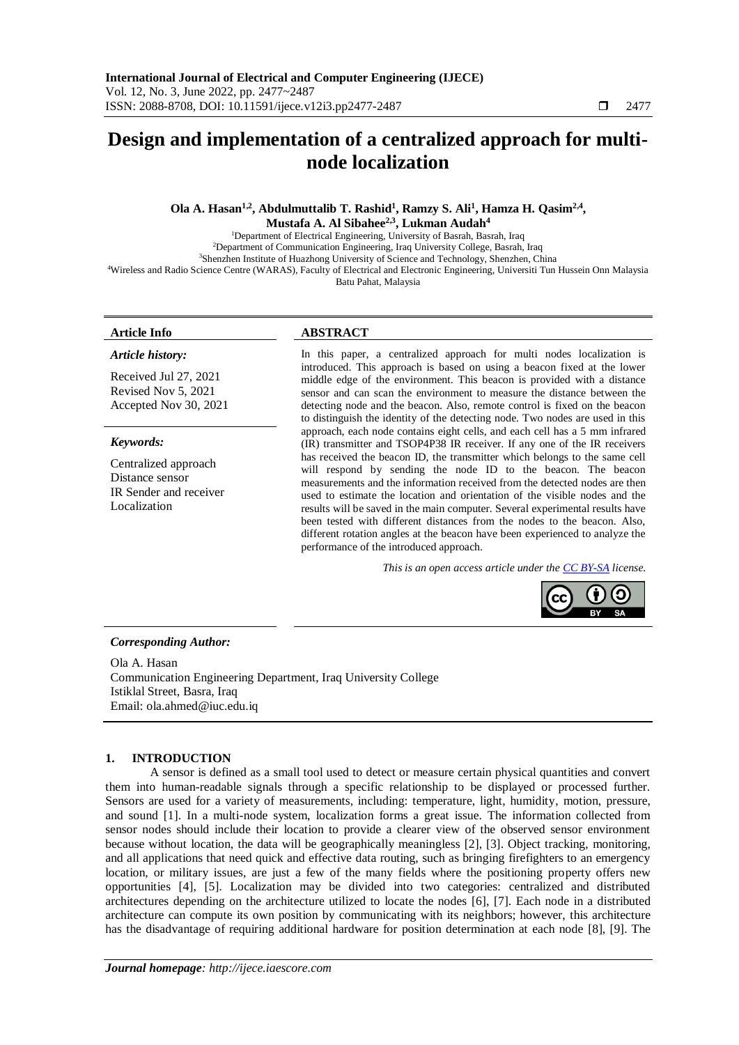# **Design and implementation of a centralized approach for multinode localization**

**Ola A. Hasan1,2, Abdulmuttalib T. Rashid<sup>1</sup> , Ramzy S. Ali<sup>1</sup> , Hamza H. Qasim2,4 , Mustafa A. Al Sibahee2,3 , Lukman Audah<sup>4</sup>**

<sup>1</sup>Department of Electrical Engineering, University of Basrah, Basrah, Iraq

<sup>2</sup>Department of Communication Engineering, Iraq University College, Basrah, Iraq

<sup>3</sup>Shenzhen Institute of Huazhong University of Science and Technology, Shenzhen, China

<sup>4</sup>Wireless and Radio Science Centre (WARAS), Faculty of Electrical and Electronic Engineering, Universiti Tun Hussein Onn Malaysia Batu Pahat, Malaysia

# *Article history:*

Received Jul 27, 2021 Revised Nov 5, 2021 Accepted Nov 30, 2021

# *Keywords:*

Centralized approach Distance sensor IR Sender and receiver Localization

# **Article Info ABSTRACT**

In this paper, a centralized approach for multi nodes localization is introduced. This approach is based on using a beacon fixed at the lower middle edge of the environment. This beacon is provided with a distance sensor and can scan the environment to measure the distance between the detecting node and the beacon. Also, remote control is fixed on the beacon to distinguish the identity of the detecting node. Two nodes are used in this approach, each node contains eight cells, and each cell has a 5 mm infrared (IR) transmitter and TSOP4P38 IR receiver. If any one of the IR receivers has received the beacon ID, the transmitter which belongs to the same cell will respond by sending the node ID to the beacon. The beacon measurements and the information received from the detected nodes are then used to estimate the location and orientation of the visible nodes and the results will be saved in the main computer. Several experimental results have been tested with different distances from the nodes to the beacon. Also, different rotation angles at the beacon have been experienced to analyze the performance of the introduced approach.

*This is an open access article under th[e CC BY-SA](https://creativecommons.org/licenses/by-sa/4.0/) license.*



# *Corresponding Author:*

Ola A. Hasan Communication Engineering Department, Iraq University College Istiklal Street, Basra, Iraq Email: ola.ahmed@iuc.edu.iq

# **1. INTRODUCTION**

A sensor is defined as a small tool used to detect or measure certain physical quantities and convert them into human-readable signals through a specific relationship to be displayed or processed further. Sensors are used for a variety of measurements, including: temperature, light, humidity, motion, pressure, and sound [1]. In a multi-node system, localization forms a great issue. The information collected from sensor nodes should include their location to provide a clearer view of the observed sensor environment because without location, the data will be geographically meaningless [2], [3]. Object tracking, monitoring, and all applications that need quick and effective data routing, such as bringing firefighters to an emergency location, or military issues, are just a few of the many fields where the positioning property offers new opportunities [4], [5]. Localization may be divided into two categories: centralized and distributed architectures depending on the architecture utilized to locate the nodes [6], [7]. Each node in a distributed architecture can compute its own position by communicating with its neighbors; however, this architecture has the disadvantage of requiring additional hardware for position determination at each node [8], [9]. The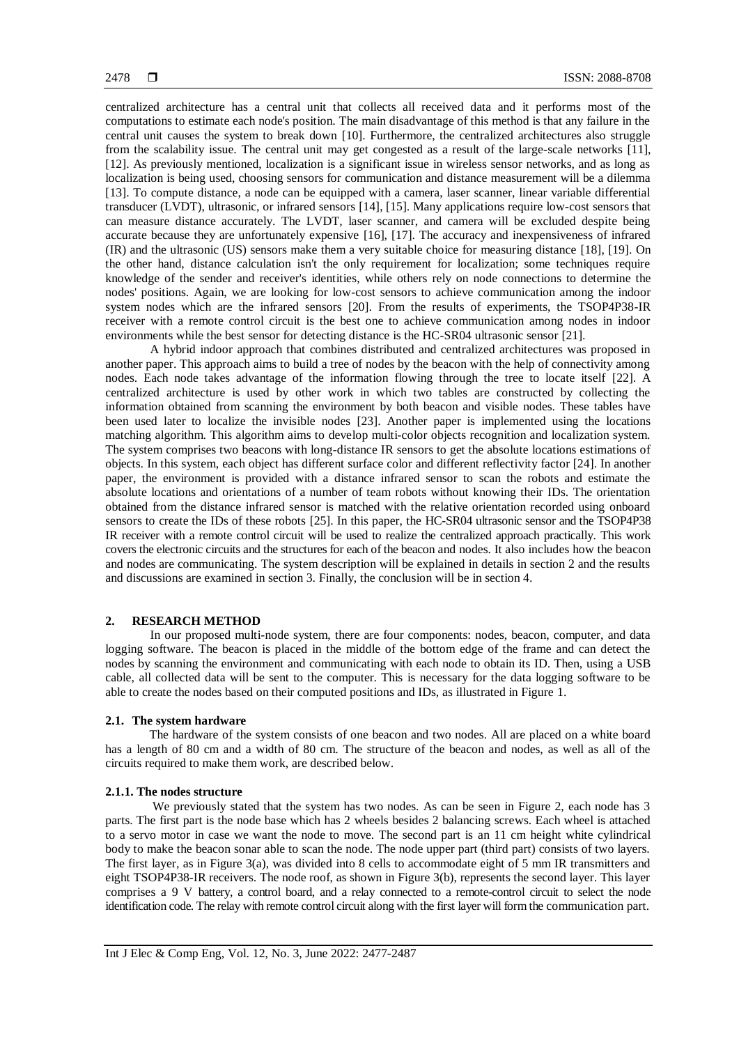centralized architecture has a central unit that collects all received data and it performs most of the computations to estimate each node's position. The main disadvantage of this method is that any failure in the central unit causes the system to break down [10]. Furthermore, the centralized architectures also struggle from the scalability issue. The central unit may get congested as a result of the large-scale networks [11], [12]. As previously mentioned, localization is a significant issue in wireless sensor networks, and as long as localization is being used, choosing sensors for communication and distance measurement will be a dilemma [13]. To compute distance, a node can be equipped with a camera, laser scanner, linear variable differential transducer (LVDT), ultrasonic, or infrared sensors [14], [15]. Many applications require low-cost sensors that can measure distance accurately. The LVDT, laser scanner, and camera will be excluded despite being accurate because they are unfortunately expensive [16], [17]. The accuracy and inexpensiveness of infrared (IR) and the ultrasonic (US) sensors make them a very suitable choice for measuring distance [18], [19]. On the other hand, distance calculation isn't the only requirement for localization; some techniques require knowledge of the sender and receiver's identities, while others rely on node connections to determine the nodes' positions. Again, we are looking for low-cost sensors to achieve communication among the indoor system nodes which are the infrared sensors [20]. From the results of experiments, the TSOP4P38-IR receiver with a remote control circuit is the best one to achieve communication among nodes in indoor environments while the best sensor for detecting distance is the HC-SR04 ultrasonic sensor [21].

A hybrid indoor approach that combines distributed and centralized architectures was proposed in another paper. This approach aims to build a tree of nodes by the beacon with the help of connectivity among nodes. Each node takes advantage of the information flowing through the tree to locate itself [22]. A centralized architecture is used by other work in which two tables are constructed by collecting the information obtained from scanning the environment by both beacon and visible nodes. These tables have been used later to localize the invisible nodes [23]. Another paper is implemented using the locations matching algorithm. This algorithm aims to develop multi-color objects recognition and localization system. The system comprises two beacons with long-distance IR sensors to get the absolute locations estimations of objects. In this system, each object has different surface color and different reflectivity factor [24]. In another paper, the environment is provided with a distance infrared sensor to scan the robots and estimate the absolute locations and orientations of a number of team robots without knowing their IDs. The orientation obtained from the distance infrared sensor is matched with the relative orientation recorded using onboard sensors to create the IDs of these robots [25]. In this paper, the HC-SR04 ultrasonic sensor and the TSOP4P38 IR receiver with a remote control circuit will be used to realize the centralized approach practically. This work covers the electronic circuits and the structures for each of the beacon and nodes. It also includes how the beacon and nodes are communicating. The system description will be explained in details in section 2 and the results and discussions are examined in section 3. Finally, the conclusion will be in section 4.

# **2. RESEARCH METHOD**

In our proposed multi-node system, there are four components: nodes, beacon, computer, and data logging software. The beacon is placed in the middle of the bottom edge of the frame and can detect the nodes by scanning the environment and communicating with each node to obtain its ID. Then, using a USB cable, all collected data will be sent to the computer. This is necessary for the data logging software to be able to create the nodes based on their computed positions and IDs, as illustrated in Figure 1.

#### **2.1. The system hardware**

The hardware of the system consists of one beacon and two nodes. All are placed on a white board has a length of 80 cm and a width of 80 cm. The structure of the beacon and nodes, as well as all of the circuits required to make them work, are described below.

### **2.1.1. The nodes structure**

We previously stated that the system has two nodes. As can be seen in Figure 2, each node has 3 parts. The first part is the node base which has 2 wheels besides 2 balancing screws. Each wheel is attached to a servo motor in case we want the node to move. The second part is an 11 cm height white cylindrical body to make the beacon sonar able to scan the node. The node upper part (third part) consists of two layers. The first layer, as in Figure 3(a), was divided into 8 cells to accommodate eight of 5 mm IR transmitters and eight TSOP4P38-IR receivers. The node roof, as shown in Figure 3(b), represents the second layer. This layer comprises a 9 V battery, a control board, and a relay connected to a remote-control circuit to select the node identification code. The relay with remote control circuit along with the first layer will form the communication part.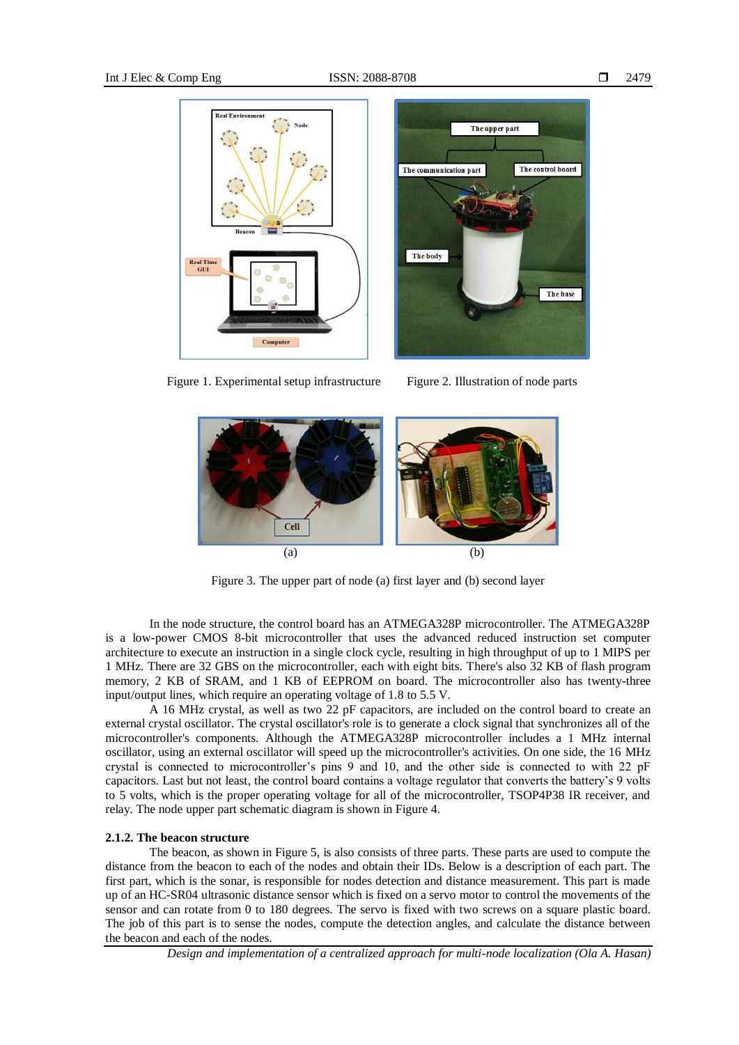



Figure 1. Experimental setup infrastructure Figure 2. Illustration of node parts





Figure 3. The upper part of node (a) first layer and (b) second layer

In the node structure, the control board has an ATMEGA328P microcontroller. The ATMEGA328P is a low-power CMOS 8-bit microcontroller that uses the advanced reduced instruction set computer architecture to execute an instruction in a single clock cycle, resulting in high throughput of up to 1 MIPS per 1 MHz. There are 32 GBS on the microcontroller, each with eight bits. There's also 32 KB of flash program memory, 2 KB of SRAM, and 1 KB of EEPROM on board. The microcontroller also has twenty-three input/output lines, which require an operating voltage of 1.8 to 5.5 V.

A 16 MHz crystal, as well as two 22 pF capacitors, are included on the control board to create an external crystal oscillator. The crystal oscillator's role is to generate a clock signal that synchronizes all of the microcontroller's components. Although the ATMEGA328P microcontroller includes a 1 MHz internal oscillator, using an external oscillator will speed up the microcontroller's activities. On one side, the 16 MHz crystal is connected to microcontroller's pins 9 and 10, and the other side is connected to with 22 pF capacitors. Last but not least, the control board contains a voltage regulator that converts the battery's 9 volts to 5 volts, which is the proper operating voltage for all of the microcontroller, TSOP4P38 IR receiver, and relay. The node upper part schematic diagram is shown in Figure 4.

#### **2.1.2. The beacon structure**

The beacon, as shown in Figure 5, is also consists of three parts. These parts are used to compute the distance from the beacon to each of the nodes and obtain their IDs. Below is a description of each part. The first part, which is the sonar, is responsible for nodes detection and distance measurement. This part is made up of an HC-SR04 ultrasonic distance sensor which is fixed on a servo motor to control the movements of the sensor and can rotate from 0 to 180 degrees. The servo is fixed with two screws on a square plastic board. The job of this part is to sense the nodes, compute the detection angles, and calculate the distance between the beacon and each of the nodes.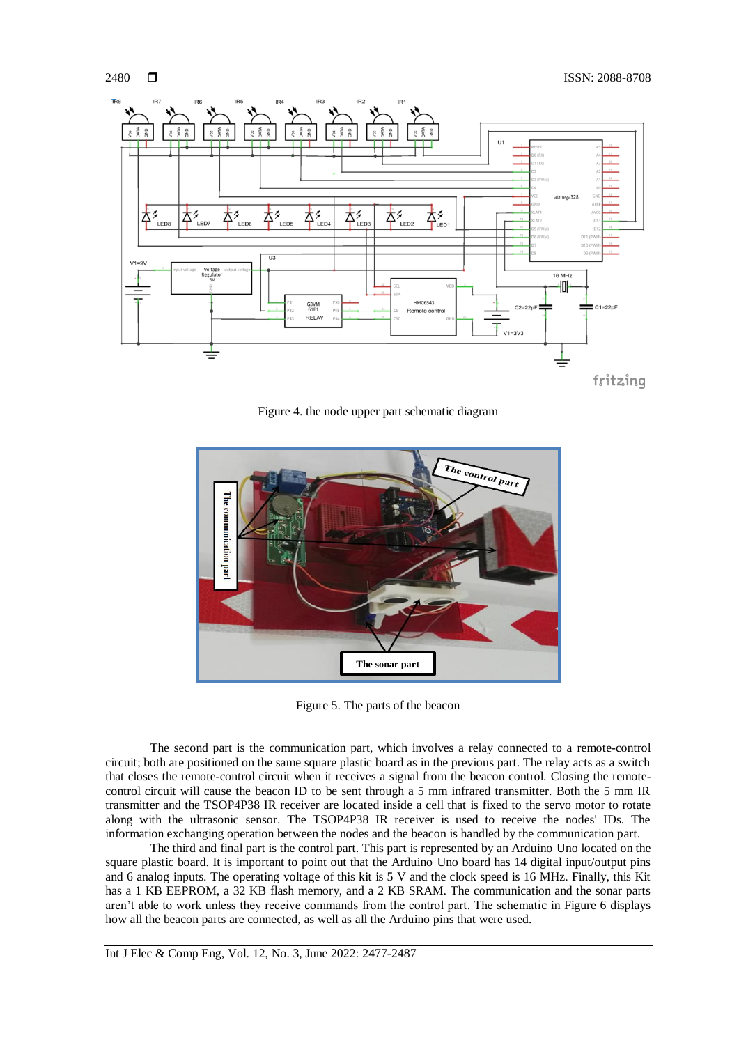

Figure 4. the node upper part schematic diagram



Figure 5. The parts of the beacon

The second part is the communication part, which involves a relay connected to a remote-control circuit; both are positioned on the same square plastic board as in the previous part. The relay acts as a switch that closes the remote-control circuit when it receives a signal from the beacon control. Closing the remotecontrol circuit will cause the beacon ID to be sent through a 5 mm infrared transmitter. Both the 5 mm IR transmitter and the TSOP4P38 IR receiver are located inside a cell that is fixed to the servo motor to rotate along with the ultrasonic sensor. The TSOP4P38 IR receiver is used to receive the nodes' IDs. The information exchanging operation between the nodes and the beacon is handled by the communication part.

The third and final part is the control part. This part is represented by an Arduino Uno located on the square plastic board. It is important to point out that the Arduino Uno board has 14 digital input/output pins and 6 analog inputs. The operating voltage of this kit is 5 V and the clock speed is 16 MHz. Finally, this Kit has a 1 KB EEPROM, a 32 KB flash memory, and a 2 KB SRAM. The communication and the sonar parts aren't able to work unless they receive commands from the control part. The schematic in Figure 6 displays how all the beacon parts are connected, as well as all the Arduino pins that were used.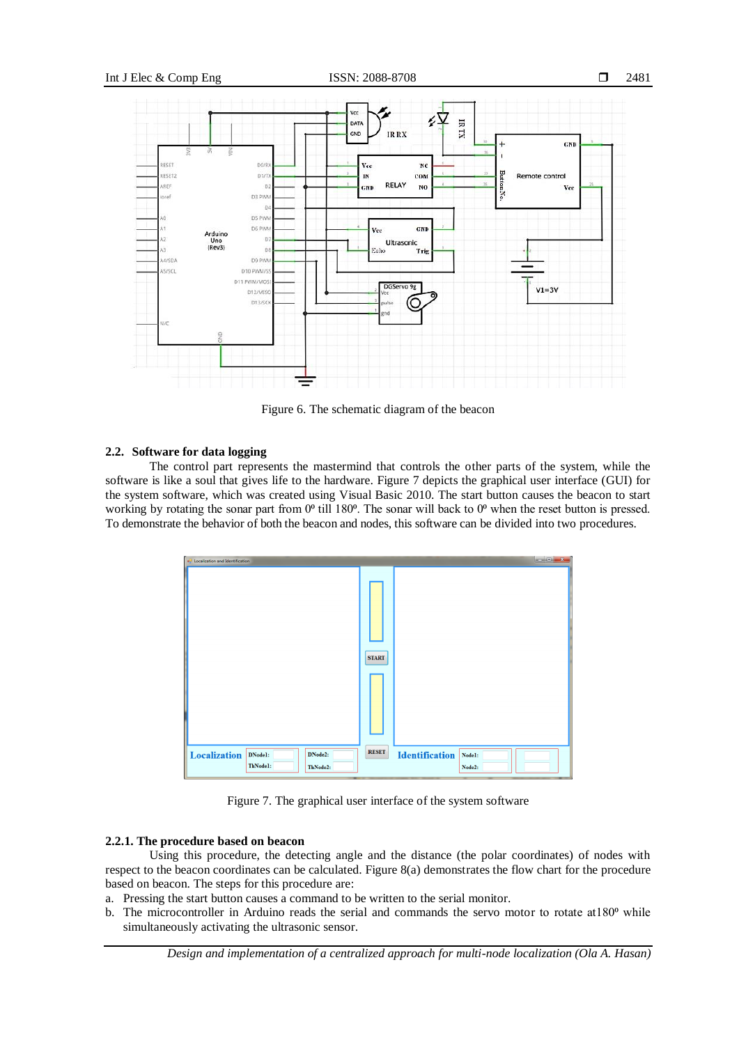

Figure 6. The schematic diagram of the beacon

### **2.2. Software for data logging**

The control part represents the mastermind that controls the other parts of the system, while the software is like a soul that gives life to the hardware. Figure 7 depicts the graphical user interface (GUI) for the system software, which was created using Visual Basic 2010. The start button causes the beacon to start working by rotating the sonar part from 0<sup>o</sup> till 180<sup>o</sup>. The sonar will back to 0<sup>o</sup> when the reset button is pressed. To demonstrate the behavior of both the beacon and nodes, this software can be divided into two procedures.



Figure 7. The graphical user interface of the system software

# **2.2.1. The procedure based on beacon**

Using this procedure, the detecting angle and the distance (the polar coordinates) of nodes with respect to the beacon coordinates can be calculated. Figure 8(a) demonstrates the flow chart for the procedure based on beacon. The steps for this procedure are:

a. Pressing the start button causes a command to be written to the serial monitor.

b. The microcontroller in Arduino reads the serial and commands the servo motor to rotate at  $180^{\circ}$  while simultaneously activating the ultrasonic sensor.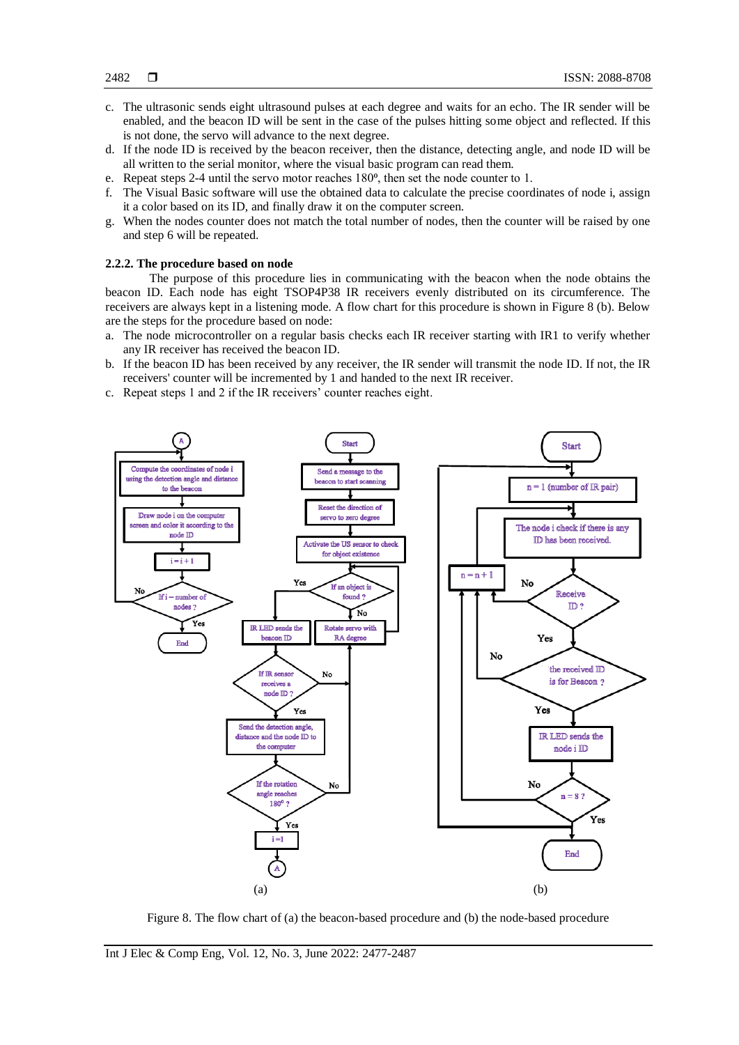- c. The ultrasonic sends eight ultrasound pulses at each degree and waits for an echo. The IR sender will be enabled, and the beacon ID will be sent in the case of the pulses hitting some object and reflected. If this is not done, the servo will advance to the next degree.
- d. If the node ID is received by the beacon receiver, then the distance, detecting angle, and node ID will be all written to the serial monitor, where the visual basic program can read them.
- e. Repeat steps 2-4 until the servo motor reaches 180⁰, then set the node counter to 1.
- f. The Visual Basic software will use the obtained data to calculate the precise coordinates of node i, assign it a color based on its ID, and finally draw it on the computer screen.
- g. When the nodes counter does not match the total number of nodes, then the counter will be raised by one and step 6 will be repeated.

#### **2.2.2. The procedure based on node**

The purpose of this procedure lies in communicating with the beacon when the node obtains the beacon ID. Each node has eight TSOP4P38 IR receivers evenly distributed on its circumference. The receivers are always kept in a listening mode. A flow chart for this procedure is shown in Figure 8 (b). Below are the steps for the procedure based on node:

- a. The node microcontroller on a regular basis checks each IR receiver starting with IR1 to verify whether any IR receiver has received the beacon ID.
- b. If the beacon ID has been received by any receiver, the IR sender will transmit the node ID. If not, the IR receivers' counter will be incremented by 1 and handed to the next IR receiver.
- c. Repeat steps 1 and 2 if the IR receivers' counter reaches eight.



Figure 8. The flow chart of (a) the beacon-based procedure and (b) the node-based procedure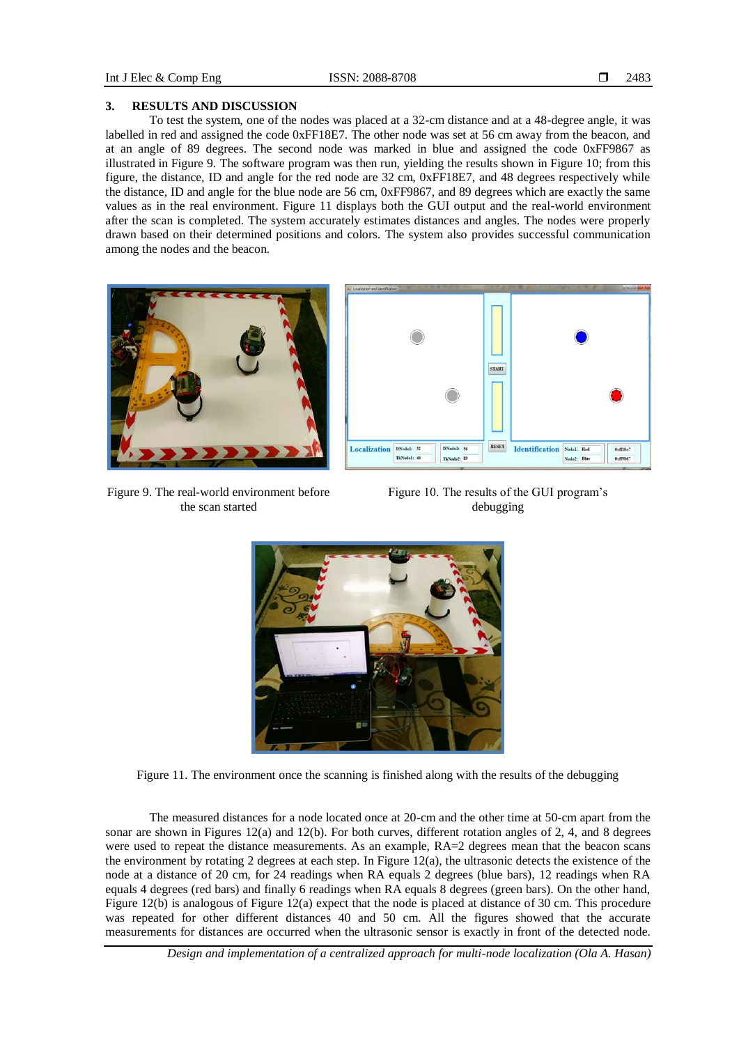# **3. RESULTS AND DISCUSSION**

To test the system, one of the nodes was placed at a 32-cm distance and at a 48-degree angle, it was labelled in red and assigned the code 0xFF18E7. The other node was set at 56 cm away from the beacon, and at an angle of 89 degrees. The second node was marked in blue and assigned the code 0xFF9867 as illustrated in Figure 9. The software program was then run, yielding the results shown in Figure 10; from this figure, the distance, ID and angle for the red node are 32 cm, 0xFF18E7, and 48 degrees respectively while the distance, ID and angle for the blue node are 56 cm, 0xFF9867, and 89 degrees which are exactly the same values as in the real environment. Figure 11 displays both the GUI output and the real-world environment after the scan is completed. The system accurately estimates distances and angles. The nodes were properly drawn based on their determined positions and colors. The system also provides successful communication among the nodes and the beacon.



Figure 9. The real-world environment before the scan started



Figure 10. The results of the GUI program's debugging



Figure 11. The environment once the scanning is finished along with the results of the debugging

The measured distances for a node located once at 20-cm and the other time at 50-cm apart from the sonar are shown in Figures 12(a) and 12(b). For both curves, different rotation angles of 2, 4, and 8 degrees were used to repeat the distance measurements. As an example,  $RA=2$  degrees mean that the beacon scans the environment by rotating 2 degrees at each step. In Figure  $12(a)$ , the ultrasonic detects the existence of the node at a distance of 20 cm, for 24 readings when RA equals 2 degrees (blue bars), 12 readings when RA equals 4 degrees (red bars) and finally 6 readings when RA equals 8 degrees (green bars). On the other hand, Figure 12(b) is analogous of Figure 12(a) expect that the node is placed at distance of 30 cm. This procedure was repeated for other different distances 40 and 50 cm. All the figures showed that the accurate measurements for distances are occurred when the ultrasonic sensor is exactly in front of the detected node.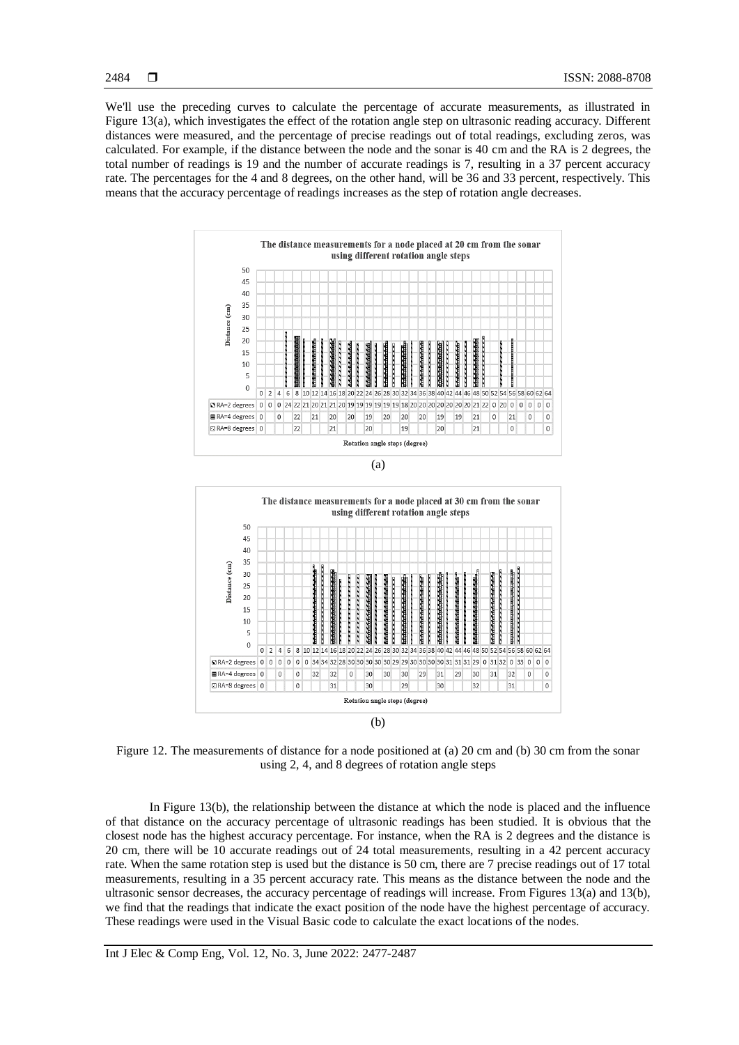2484

We'll use the preceding curves to calculate the percentage of accurate measurements, as illustrated in Figure 13(a), which investigates the effect of the rotation angle step on ultrasonic reading accuracy. Different distances were measured, and the percentage of precise readings out of total readings, excluding zeros, was calculated. For example, if the distance between the node and the sonar is 40 cm and the RA is 2 degrees, the total number of readings is 19 and the number of accurate readings is 7, resulting in a 37 percent accuracy rate. The percentages for the 4 and 8 degrees, on the other hand, will be 36 and 33 percent, respectively. This means that the accuracy percentage of readings increases as the step of rotation angle decreases.







Figure 12. The measurements of distance for a node positioned at (a) 20 cm and (b) 30 cm from the sonar using 2, 4, and 8 degrees of rotation angle steps

In Figure 13(b), the relationship between the distance at which the node is placed and the influence of that distance on the accuracy percentage of ultrasonic readings has been studied. It is obvious that the closest node has the highest accuracy percentage. For instance, when the RA is 2 degrees and the distance is 20 cm, there will be 10 accurate readings out of 24 total measurements, resulting in a 42 percent accuracy rate. When the same rotation step is used but the distance is 50 cm, there are 7 precise readings out of 17 total measurements, resulting in a 35 percent accuracy rate. This means as the distance between the node and the ultrasonic sensor decreases, the accuracy percentage of readings will increase. From Figures 13(a) and 13(b), we find that the readings that indicate the exact position of the node have the highest percentage of accuracy. These readings were used in the Visual Basic code to calculate the exact locations of the nodes.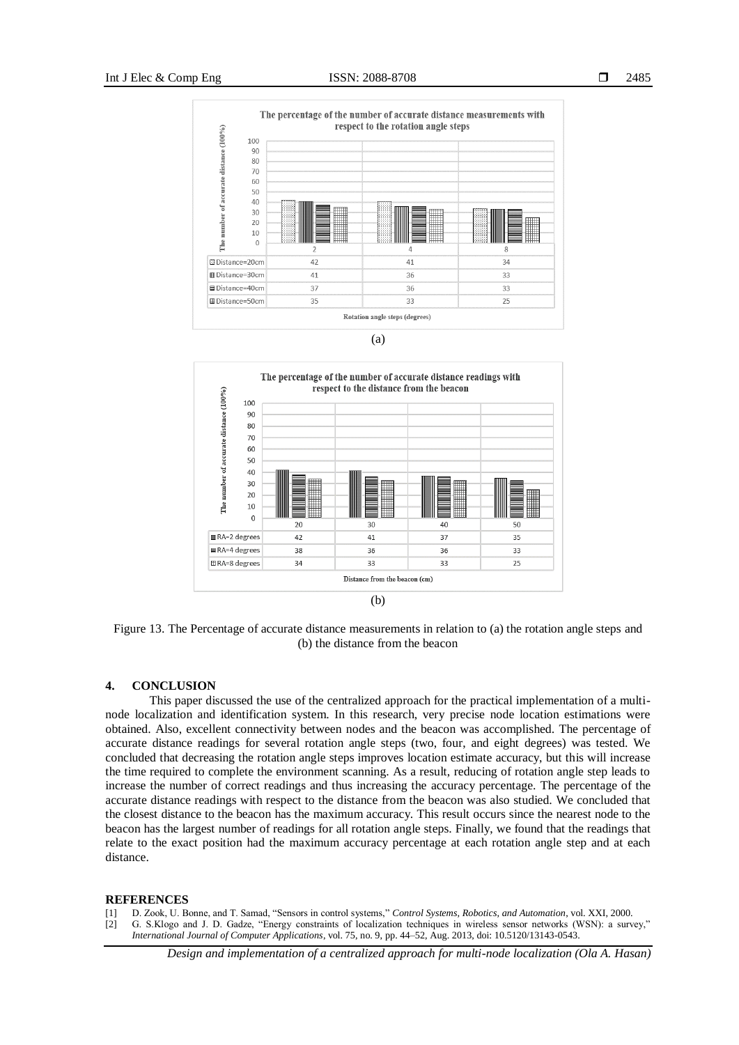





Figure 13. The Percentage of accurate distance measurements in relation to (a) the rotation angle steps and (b) the distance from the beacon

#### **4. CONCLUSION**

This paper discussed the use of the centralized approach for the practical implementation of a multinode localization and identification system. In this research, very precise node location estimations were obtained. Also, excellent connectivity between nodes and the beacon was accomplished. The percentage of accurate distance readings for several rotation angle steps (two, four, and eight degrees) was tested. We concluded that decreasing the rotation angle steps improves location estimate accuracy, but this will increase the time required to complete the environment scanning. As a result, reducing of rotation angle step leads to increase the number of correct readings and thus increasing the accuracy percentage. The percentage of the accurate distance readings with respect to the distance from the beacon was also studied. We concluded that the closest distance to the beacon has the maximum accuracy. This result occurs since the nearest node to the beacon has the largest number of readings for all rotation angle steps. Finally, we found that the readings that relate to the exact position had the maximum accuracy percentage at each rotation angle step and at each distance.

#### **REFERENCES**

- [1] D. Zook, U. Bonne, and T. Samad, "Sensors in control systems," *Control Systems, Robotics, and Automation*, vol. XXI, 2000.
- [2] G. S.Klogo and J. D. Gadze, "Energy constraints of localization techniques in wireless sensor networks (WSN): a survey," *International Journal of Computer Applications*, vol. 75, no. 9, pp. 44–52, Aug. 2013, doi: 10.5120/13143-0543.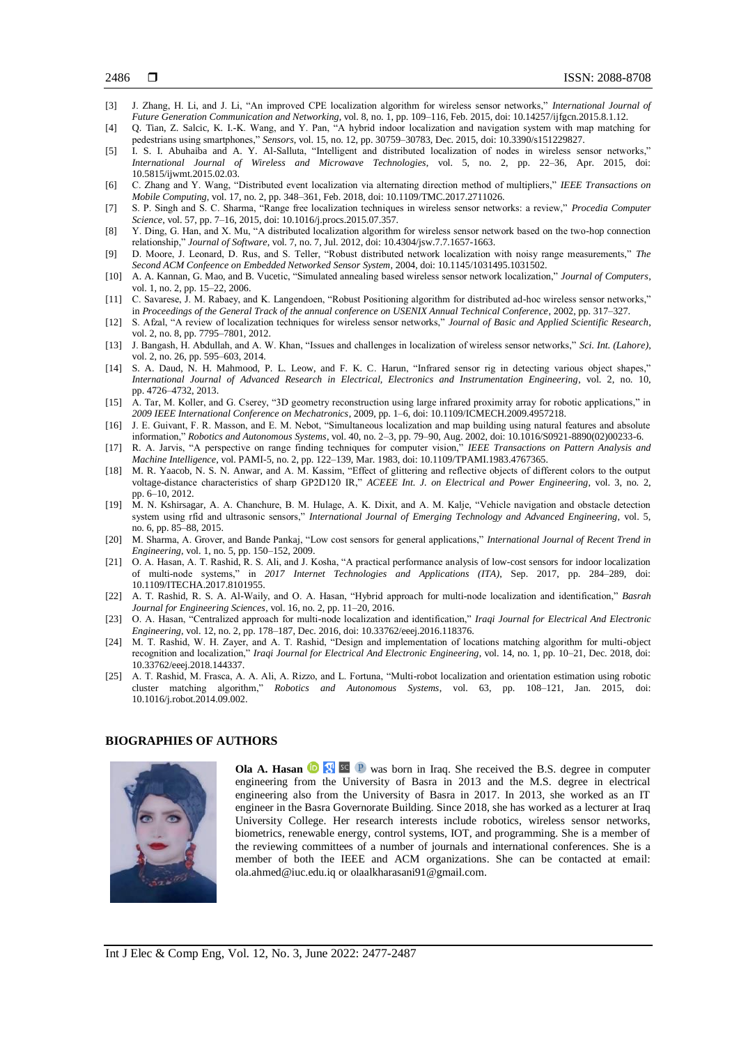- [3] J. Zhang, H. Li, and J. Li, "An improved CPE localization algorithm for wireless sensor networks," *International Journal of Future Generation Communication and Networking*, vol. 8, no. 1, pp. 109–116, Feb. 2015, doi: 10.14257/ijfgcn.2015.8.1.12.
- [4] Q. Tian, Z. Salcic, K. I.-K. Wang, and Y. Pan, "A hybrid indoor localization and navigation system with map matching for pedestrians using smartphones," *Sensors*, vol. 15, no. 12, pp. 30759–30783, Dec. 2015, doi: 10.3390/s151229827.
- [5] I. S. I. Abuhaiba and A. Y. Al-Salluta, "Intelligent and distributed localization of nodes in wireless sensor networks," *International Journal of Wireless and Microwave Technologies*, vol. 5, no. 2, pp. 22–36, Apr. 2015, doi: 10.5815/ijwmt.2015.02.03.
- [6] C. Zhang and Y. Wang, "Distributed event localization via alternating direction method of multipliers," *IEEE Transactions on Mobile Computing*, vol. 17, no. 2, pp. 348–361, Feb. 2018, doi: 10.1109/TMC.2017.2711026.
- [7] S. P. Singh and S. C. Sharma, "Range free localization techniques in wireless sensor networks: a review," *Procedia Computer Science*, vol. 57, pp. 7–16, 2015, doi: 10.1016/j.procs.2015.07.357.
- [8] Y. Ding, G. Han, and X. Mu, "A distributed localization algorithm for wireless sensor network based on the two-hop connection relationship," *Journal of Software*, vol. 7, no. 7, Jul. 2012, doi: 10.4304/jsw.7.7.1657-1663.
- [9] D. Moore, J. Leonard, D. Rus, and S. Teller, "Robust distributed network localization with noisy range measurements," *The Second ACM Confeence on Embedded Networked Sensor System*, 2004, doi: 10.1145/1031495.1031502.
- [10] A. A. Kannan, G. Mao, and B. Vucetic, "Simulated annealing based wireless sensor network localization," *Journal of Computers*, vol. 1, no. 2, pp. 15–22, 2006.
- [11] C. Savarese, J. M. Rabaey, and K. Langendoen, "Robust Positioning algorithm for distributed ad-hoc wireless sensor networks," in *Proceedings of the General Track of the annual conference on USENIX Annual Technical Conference*, 2002, pp. 317–327.
- [12] S. Afzal, "A review of localization techniques for wireless sensor networks," *Journal of Basic and Applied Scientific Research*, vol. 2, no. 8, pp. 7795–7801, 2012.
- [13] J. Bangash, H. Abdullah, and A. W. Khan, "Issues and challenges in localization of wireless sensor networks," *Sci. Int. (Lahore)*, vol. 2, no. 26, pp. 595–603, 2014.
- [14] S. A. Daud, N. H. Mahmood, P. L. Leow, and F. K. C. Harun, "Infrared sensor rig in detecting various object shapes," *International Journal of Advanced Research in Electrical, Electronics and Instrumentation Engineering*, vol. 2, no. 10, pp. 4726–4732, 2013.
- [15] A. Tar, M. Koller, and G. Cserey, "3D geometry reconstruction using large infrared proximity array for robotic applications," in *2009 IEEE International Conference on Mechatronics*, 2009, pp. 1–6, doi: 10.1109/ICMECH.2009.4957218.
- [16] J. E. Guivant, F. R. Masson, and E. M. Nebot, "Simultaneous localization and map building using natural features and absolute information," *Robotics and Autonomous Systems*, vol. 40, no. 2–3, pp. 79–90, Aug. 2002, doi: 10.1016/S0921-8890(02)00233-6.
- [17] R. A. Jarvis, "A perspective on range finding techniques for computer vision," *IEEE Transactions on Pattern Analysis and Machine Intelligence*, vol. PAMI-5, no. 2, pp. 122–139, Mar. 1983, doi: 10.1109/TPAMI.1983.4767365.
- [18] M. R. Yaacob, N. S. N. Anwar, and A. M. Kassim, "Effect of glittering and reflective objects of different colors to the output voltage-distance characteristics of sharp GP2D120 IR," *ACEEE Int. J. on Electrical and Power Engineering*, vol. 3, no. 2, pp. 6–10, 2012.
- [19] M. N. Kshirsagar, A. A. Chanchure, B. M. Hulage, A. K. Dixit, and A. M. Kalje, "Vehicle navigation and obstacle detection system using rfid and ultrasonic sensors," *International Journal of Emerging Technology and Advanced Engineering*, vol. 5, no. 6, pp. 85–88, 2015.
- [20] M. Sharma, A. Grover, and Bande Pankaj, "Low cost sensors for general applications," *International Journal of Recent Trend in Engineering*, vol. 1, no. 5, pp. 150–152, 2009.
- [21] O. A. Hasan, A. T. Rashid, R. S. Ali, and J. Kosha, "A practical performance analysis of low-cost sensors for indoor localization of multi-node systems," in *2017 Internet Technologies and Applications (ITA)*, Sep. 2017, pp. 284–289, doi: 10.1109/ITECHA.2017.8101955.
- [22] A. T. Rashid, R. S. A. Al-Waily, and O. A. Hasan, "Hybrid approach for multi-node localization and identification," *Basrah Journal for Engineering Sciences*, vol. 16, no. 2, pp. 11–20, 2016.
- [23] O. A. Hasan, "Centralized approach for multi-node localization and identification," *Iraqi Journal for Electrical And Electronic Engineering*, vol. 12, no. 2, pp. 178–187, Dec. 2016, doi: 10.33762/eeej.2016.118376.
- [24] M. T. Rashid, W. H. Zayer, and A. T. Rashid, "Design and implementation of locations matching algorithm for multi-object recognition and localization," *Iraqi Journal for Electrical And Electronic Engineering*, vol. 14, no. 1, pp. 10–21, Dec. 2018, doi: 10.33762/eeej.2018.144337.
- [25] A. T. Rashid, M. Frasca, A. A. Ali, A. Rizzo, and L. Fortuna, "Multi-robot localization and orientation estimation using robotic cluster matching algorithm," *Robotics and Autonomous Systems*, vol. 63, pp. 108–121, Jan. 2015, doi: 10.1016/j.robot.2014.09.002.

# **BIOGRAPHIES OF AUTHORS**



**Ola A. Hasan <b>D N** sc **P** was born in Iraq. She received the B.S. degree in computer engineering from the University of Basra in 2013 and the M.S. degree in electrical engineering also from the University of Basra in 2017. In 2013, she worked as an IT engineer in the Basra Governorate Building. Since 2018, she has worked as a lecturer at Iraq University College. Her research interests include robotics, wireless sensor networks, biometrics, renewable energy, control systems, IOT, and programming. She is a member of the reviewing committees of a number of journals and international conferences. She is a member of both the IEEE and ACM organizations. She can be contacted at email: [ola.ahmed@iuc.edu.iq](mailto:ola.ahmed@iuc.edu.iq) or olaalkharasani91@gmail.com.